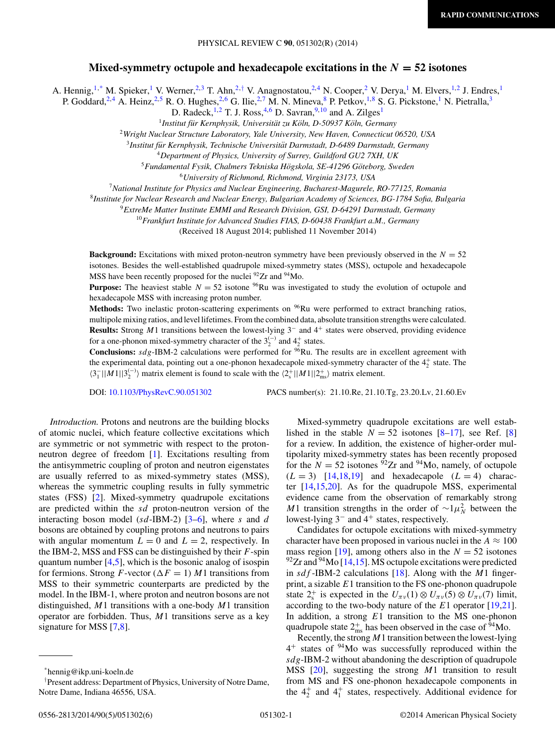## **Mixed-symmetry octupole and hexadecapole excitations in the** *N* **= 52 isotones**

A. Hennig,<sup>1,\*</sup> M. Spieker,<sup>1</sup> V. Werner,<sup>2,3</sup> T. Ahn,<sup>2,†</sup> V. Anagnostatou,<sup>2,4</sup> N. Cooper,<sup>2</sup> V. Derya,<sup>1</sup> M. Elvers,<sup>1,2</sup> J. Endres,<sup>1</sup>

P. Goddard,<sup>2,4</sup> A. Heinz,<sup>2,5</sup> R. O. Hughes,<sup>2,6</sup> G. Ilie,<sup>2,7</sup> M. N. Mineva,<sup>8</sup> P. Petkov,<sup>1,8</sup> S. G. Pickstone,<sup>1</sup> N. Pietralla,<sup>3</sup>

D. Radeck,<sup>1,2</sup> T. J. Ross,<sup>4,6</sup> D. Savran,<sup>9,10</sup> and A. Zilges<sup>1</sup>

<sup>1</sup> Institut für Kernphysik, Universität zu Köln, D-50937 Köln, Germany

<sup>2</sup>*Wright Nuclear Structure Laboratory, Yale University, New Haven, Connecticut 06520, USA*

<sup>3</sup> Institut für Kernphysik, Technische Universität Darmstadt, D-6489 Darmstadt, Germany

<sup>4</sup>*Department of Physics, University of Surrey, Guildford GU2 7XH, UK*

<sup>5</sup>*Fundamental Fysik, Chalmers Tekniska Hogskola, SE-41296 G ¨ oteborg, Sweden ¨*

<sup>6</sup>*University of Richmond, Richmond, Virginia 23173, USA*

<sup>7</sup>*National Institute for Physics and Nuclear Engineering, Bucharest-Magurele, RO-77125, Romania*

<sup>8</sup>*Institute for Nuclear Research and Nuclear Energy, Bulgarian Academy of Sciences, BG-1784 Sofia, Bulgaria*

<sup>9</sup>*ExtreMe Matter Institute EMMI and Research Division, GSI, D-64291 Darmstadt, Germany*

<sup>10</sup>*Frankfurt Institute for Advanced Studies FIAS, D-60438 Frankfurt a.M., Germany*

(Received 18 August 2014; published 11 November 2014)

**Background:** Excitations with mixed proton-neutron symmetry have been previously observed in the  $N = 52$ isotones. Besides the well-established quadrupole mixed-symmetry states (MSS), octupole and hexadecapole MSS have been recently proposed for the nuclei <sup>92</sup>Zr and <sup>94</sup>Mo.

**Purpose:** The heaviest stable  $N = 52$  isotone <sup>96</sup>Ru was investigated to study the evolution of octupole and hexadecapole MSS with increasing proton number.

Methods: Two inelastic proton-scattering experiments on <sup>96</sup>Ru were performed to extract branching ratios, multipole mixing ratios, and level lifetimes. From the combined data, absolute transition strengths were calculated. **Results:** Strong M1 transitions between the lowest-lying 3<sup>−</sup> and 4<sup>+</sup> states were observed, providing evidence for a one-phonon mixed-symmetry character of the  $3_2^{(-)}$  and  $4_2^+$  states.

Conclusions: sdg-IBM-2 calculations were performed for <sup>96</sup>Ru. The results are in excellent agreement with the experimental data, pointing out a one-phonon hexadecapole mixed-symmetry character of the  $4^{+}_{2}$  state. The  $\langle 3^-_1 ||M1||3_2^{(-)}\rangle$  matrix element is found to scale with the  $\langle 2^+_s ||M1||2^+_{ms}\rangle$  matrix element.

DOI: [10.1103/PhysRevC.90.051302](http://dx.doi.org/10.1103/PhysRevC.90.051302) PACS number(s): 21.10.Re, 21.10.Tg, 23.20.Lv, 21.60.Ev

*Introduction.* Protons and neutrons are the building blocks of atomic nuclei, which feature collective excitations which are symmetric or not symmetric with respect to the protonneutron degree of freedom [\[1\]](#page-4-0). Excitations resulting from the antisymmetric coupling of proton and neutron eigenstates are usually referred to as mixed-symmetry states (MSS), whereas the symmetric coupling results in fully symmetric states (FSS) [\[2\]](#page-4-0). Mixed-symmetry quadrupole excitations are predicted within the sd proton-neutron version of the interacting boson model (sd-IBM-2)  $[3-6]$ , where s and d bosons are obtained by coupling protons and neutrons to pairs with angular momentum  $L = 0$  and  $L = 2$ , respectively. In the IBM-2, MSS and FSS can be distinguished by their  $F$ -spin quantum number  $[4,5]$ , which is the bosonic analog of isospin for fermions. Strong F-vector ( $\Delta F = 1$ ) M1 transitions from MSS to their symmetric counterparts are predicted by the model. In the IBM-1, where proton and neutron bosons are not distinguished,  $M1$  transitions with a one-body  $M1$  transition operator are forbidden. Thus,  $M1$  transitions serve as a key signature for MSS [\[7,8\]](#page-4-0).

Mixed-symmetry quadrupole excitations are well established in the stable  $N = 52$  isotones [\[8–](#page-4-0)[17\]](#page-5-0), see Ref. [\[8\]](#page-4-0) for a review. In addition, the existence of higher-order multipolarity mixed-symmetry states has been recently proposed for the  $N = 52$  isotones <sup>92</sup>Zr and <sup>94</sup>Mo, namely, of octupole  $(L = 3)$  [\[14,18,19\]](#page-5-0) and hexadecapole  $(L = 4)$  character [\[14,15,20\]](#page-5-0). As for the quadrupole MSS, experimental evidence came from the observation of remarkably strong M1 transition strengths in the order of  $\sim 1 \mu_N^2$  between the lowest-lying 3<sup>−</sup> and 4<sup>+</sup> states, respectively.

Candidates for octupole excitations with mixed-symmetry character have been proposed in various nuclei in the  $A \approx 100$ mass region [\[19\]](#page-5-0), among others also in the  $N = 52$  isotones  $^{92}Zr$  and  $^{94}Mo$  [\[14,15\]](#page-5-0). MS octupole excitations were predicted in  $sdf$ -IBM-2 calculations [\[18\]](#page-5-0). Along with the *M*1 fingerprint, a sizable  $E1$  transition to the FS one-phonon quadrupole state  $2^+_s$  is expected in the  $U_{\pi\nu}(1) \otimes U_{\pi\nu}(5) \otimes U_{\pi\nu}(7)$  limit, according to the two-body nature of the E1 operator [\[19,21\]](#page-5-0). In addition, a strong  $E1$  transition to the MS one-phonon quadrupole state  $2^{\text{+}}_{\text{ms}}$  has been observed in the case of  $94\text{Mo}$ .

Recently, the strong  $M1$  transition between the lowest-lying  $4^+$  states of  $94$ Mo was successfully reproduced within the sdg-IBM-2 without abandoning the description of quadrupole MSS  $[20]$ , suggesting the strong  $M1$  transition to result from MS and FS one-phonon hexadecapole components in the  $4^+_2$  and  $4^+_1$  states, respectively. Additional evidence for

<sup>\*</sup>hennig@ikp.uni-koeln.de

<sup>†</sup> Present address: Department of Physics, University of Notre Dame, Notre Dame, Indiana 46556, USA.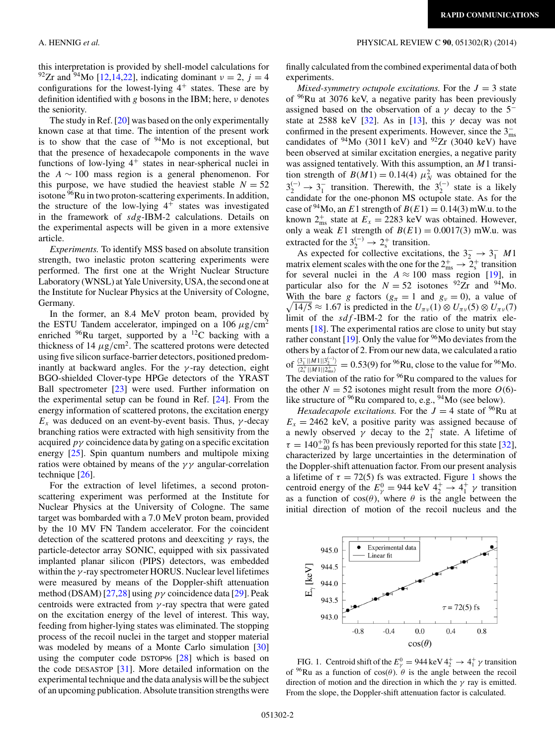this interpretation is provided by shell-model calculations for <sup>92</sup>Zr and <sup>94</sup>Mo [\[12,14,22\]](#page-5-0), indicating dominant  $v = 2$ ,  $j = 4$ configurations for the lowest-lying  $4^+$  states. These are by definition identified with g bosons in the IBM; here,  $\nu$  denotes the seniority.

The study in Ref. [\[20\]](#page-5-0) was based on the only experimentally known case at that time. The intention of the present work is to show that the case of  $94$ Mo is not exceptional, but that the presence of hexadecapole components in the wave functions of low-lying  $4^+$  states in near-spherical nuclei in the  $A \sim 100$  mass region is a general phenomenon. For this purpose, we have studied the heaviest stable  $N = 52$ isotone <sup>96</sup>Ru in two proton-scattering experiments. In addition, the structure of the low-lying  $4^+$  states was investigated in the framework of sdg-IBM-2 calculations. Details on the experimental aspects will be given in a more extensive article.

*Experiments.* To identify MSS based on absolute transition strength, two inelastic proton scattering experiments were performed. The first one at the Wright Nuclear Structure Laboratory (WNSL) at Yale University, USA, the second one at the Institute for Nuclear Physics at the University of Cologne, Germany.

In the former, an 8.4 MeV proton beam, provided by the ESTU Tandem accelerator, impinged on a 106  $\mu$ g/cm<sup>2</sup> enriched  $96$ Ru target, supported by a  $12$ C backing with a thickness of 14  $\mu$ g/cm<sup>2</sup>. The scattered protons were detected using five silicon surface-barrier detectors, positioned predominantly at backward angles. For the  $\gamma$ -ray detection, eight BGO-shielded Clover-type HPGe detectors of the YRAST Ball spectrometer [\[23\]](#page-5-0) were used. Further information on the experimental setup can be found in Ref. [\[24\]](#page-5-0). From the energy information of scattered protons, the excitation energy  $E_x$  was deduced on an event-by-event basis. Thus,  $\gamma$ -decay branching ratios were extracted with high sensitivity from the acquired  $p\gamma$  coincidence data by gating on a specific excitation energy [\[25\]](#page-5-0). Spin quantum numbers and multipole mixing ratios were obtained by means of the  $\gamma\gamma$  angular-correlation technique [\[26\]](#page-5-0).

For the extraction of level lifetimes, a second protonscattering experiment was performed at the Institute for Nuclear Physics at the University of Cologne. The same target was bombarded with a 7.0 MeV proton beam, provided by the 10 MV FN Tandem accelerator. For the coincident detection of the scattered protons and deexciting  $\gamma$  rays, the particle-detector array SONIC, equipped with six passivated implanted planar silicon (PIPS) detectors, was embedded within the  $\gamma$ -ray spectrometer HORUS. Nuclear level lifetimes were measured by means of the Doppler-shift attenuation method (DSAM) [\[27,28\]](#page-5-0) using  $p\gamma$  coincidence data [\[29\]](#page-5-0). Peak centroids were extracted from  $\gamma$ -ray spectra that were gated on the excitation energy of the level of interest. This way, feeding from higher-lying states was eliminated. The stopping process of the recoil nuclei in the target and stopper material was modeled by means of a Monte Carlo simulation [\[30\]](#page-5-0) using the computer code DSTOP96 [\[28\]](#page-5-0) which is based on the code DESASTOP [\[31\]](#page-5-0). More detailed information on the experimental technique and the data analysis will be the subject of an upcoming publication. Absolute transition strengths were

### finally calculated from the combined experimental data of both experiments.

*Mixed-symmetry octupole excitations.* For the  $J = 3$  state of  $96$ Ru at 3076 keV, a negative parity has been previously assigned based on the observation of a  $\gamma$  decay to the 5<sup>-</sup> state at 2588 keV [\[32\]](#page-5-0). As in [\[13\]](#page-5-0), this  $\gamma$  decay was not confirmed in the present experiments. However, since the  $3<sub>ms</sub>$ candidates of  $94$ Mo (3011 keV) and  $92Zr$  (3040 keV) have been observed at similar excitation energies, a negative parity was assigned tentatively. With this assumption, an  $M1$  transition strength of  $B(M1) = 0.14(4) \mu_N^2$  was obtained for the  $3_2^{(-)} \rightarrow 3_1^-$  transition. Therewith, the  $3_2^{(-)}$  state is a likely candidate for the one-phonon MS octupole state. As for the case of <sup>94</sup>Mo, an E1 strength of  $B(E1) = 0.14(3)$  mW.u. to the known  $2_{\text{ms}}^+$  state at  $E_x = 2283 \text{ keV}$  was obtained. However, only a weak E1 strength of  $B(E1) = 0.0017(3)$  mW.u. was extracted for the  $3_2^{(-)} \rightarrow 2_s^+$  transition.

As expected for collective excitations, the  $3\frac{1}{2} \rightarrow 3\frac{1}{1}$  M1 matrix element scales with the one for the  $2^+_{ms} \rightarrow 2^+_{s}$  transition for several nuclei in the  $A \approx 100$  mass region [\[19\]](#page-5-0), in particular also for the  $N = 52$  isotones <sup>92</sup>Zr and <sup>94</sup>Mo. With the bare g factors ( $g_{\pi} = 1$  and  $g_{\nu} = 0$ ), a value of  $\sqrt{14/5} \approx 1.67$  is predicted in the  $U_{\pi\nu}(1) \otimes U_{\pi\nu}(5) \otimes U_{\pi\nu}(7)$ limit of the  $sdf$ -IBM-2 for the ratio of the matrix elements [\[18\]](#page-5-0). The experimental ratios are close to unity but stay rather constant [\[19\]](#page-5-0). Only the value for  $96$ Mo deviates from the others by a factor of 2. From our new data, we calculated a ratio of  $\frac{\langle 3_1^- ||M1|| 3_2^{(-)}\rangle}{\langle 2^+ ||M1|| 2^+ \rangle}$  $\frac{\binom{3}{2+}\|M\|\binom{3}{2}}{\binom{2^+}\pi\|M\|\binom{3^+}{2^+}}{2^+}\n= 0.53(9) \text{ for }^{96}\text{Ru}, \text{close to the value for }^{96}\text{Mo}.$ The deviation of the ratio for <sup>96</sup>Ru compared to the values for the other  $N = 52$  isotones might result from the more  $O(6)$ like structure of <sup>96</sup>Ru compared to, e.g., <sup>94</sup>Mo (see below).

*Hexadecapole excitations.* For the  $J = 4$  state of <sup>96</sup>Ru at  $E_x = 2462$  keV, a positive parity was assigned because of a newly observed  $\gamma$  decay to the  $2^+_1$  state. A lifetime of  $\tau = 140^{+70}_{-40}$  fs has been previously reported for this state [\[32\]](#page-5-0), characterized by large uncertainties in the determination of the Doppler-shift attenuation factor. From our present analysis a lifetime of  $\tau = 72(5)$  fs was extracted. Figure 1 shows the centroid energy of the  $E_{\gamma}^{0} = 944 \text{ keV } 4_{2}^{+} \rightarrow 4_{1}^{+} \gamma$  transition as a function of  $cos(\theta)$ , where  $\theta$  is the angle between the initial direction of motion of the recoil nucleus and the



FIG. 1. Centroid shift of the  $E_{\gamma}^0 = 944 \text{ keV } 4^+_2 \rightarrow 4^+_1 \gamma$  transition of <sup>96</sup>Ru as a function of  $cos(\theta)$ .  $\theta$  is the angle between the recoil direction of motion and the direction in which the  $\gamma$  ray is emitted. From the slope, the Doppler-shift attenuation factor is calculated.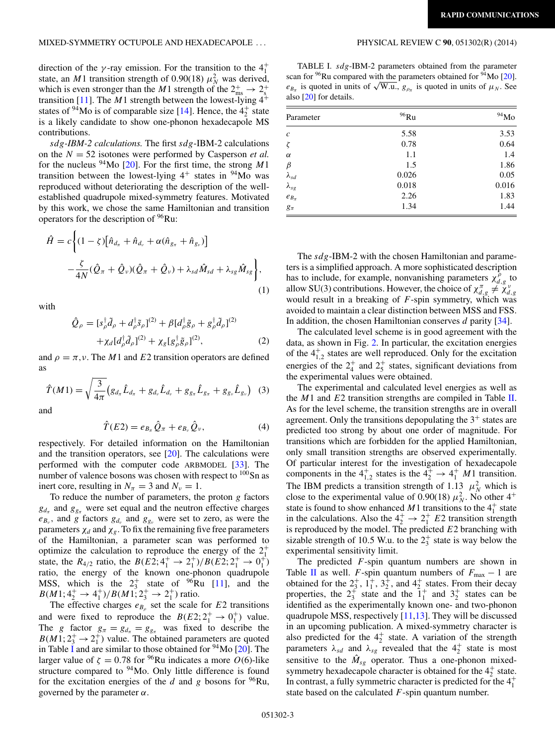### MIXED-SYMMETRY OCTUPOLE AND HEXADECAPOLE . . . PHYSICAL REVIEW C **90**, 051302(R) (2014)

direction of the  $\gamma$ -ray emission. For the transition to the  $4^+_1$ state, an *M*1 transition strength of 0.90(18)  $\mu_N^2$  was derived, which is even stronger than the M1 strength of the  $2^+_{\text{ms}} \rightarrow 2^+_{\text{s}}$ transition [\[11\]](#page-5-0). The  $M1$  strength between the lowest-lying  $4^+$ states of <sup>94</sup>Mo is of comparable size [\[14\]](#page-5-0). Hence, the  $4^{+}_{2}$  state is a likely candidate to show one-phonon hexadecapole MS contributions.

sdg*-IBM-2 calculations.* The first sdg-IBM-2 calculations on the  $N = 52$  isotones were performed by Casperson *et al.* for the nucleus  $94$ Mo [\[20\]](#page-5-0). For the first time, the strong M1 transition between the lowest-lying  $4^+$  states in  $94$ Mo was reproduced without deteriorating the description of the wellestablished quadrupole mixed-symmetry features. Motivated by this work, we chose the same Hamiltonian and transition operators for the description of 96Ru:

$$
\hat{H} = c \Biggl\{ (1 - \zeta) \Bigl[ \hat{n}_{d_{\pi}} + \hat{n}_{d_{\nu}} + \alpha (\hat{n}_{g_{\pi}} + \hat{n}_{g_{\nu}}) \Bigr] - \frac{\zeta}{4N} (\hat{Q}_{\pi} + \hat{Q}_{\nu}) (\hat{Q}_{\pi} + \hat{Q}_{\nu}) + \lambda_{sd} \hat{M}_{sd} + \lambda_{sg} \hat{M}_{sg} \Biggr\},
$$
\n(1)

with

$$
\hat{Q}_{\rho} = [s_{\rho}^{\dagger} \tilde{d}_{\rho} + d_{\rho}^{\dagger} \tilde{s}_{\rho}]^{(2)} + \beta [d_{\rho}^{\dagger} \tilde{g}_{\rho} + g_{\rho}^{\dagger} \tilde{d}_{\rho}]^{(2)} \n+ \chi_d [d_{\rho}^{\dagger} \tilde{d}_{\rho}]^{(2)} + \chi_g [g_{\rho}^{\dagger} \tilde{g}_{\rho}]^{(2)},
$$
\n(2)

and  $\rho = \pi, \nu$ . The M1 and E2 transition operators are defined as

$$
\hat{T}(M1) = \sqrt{\frac{3}{4\pi}} \left( g_{d_{\pi}} \hat{L}_{d_{\pi}} + g_{d_{\nu}} \hat{L}_{d_{\nu}} + g_{g_{\pi}} \hat{L}_{g_{\pi}} + g_{g_{\nu}} \hat{L}_{g_{\nu}} \right)
$$
 (3)

and

$$
\hat{T}(E2) = e_{B_{\pi}} \hat{Q}_{\pi} + e_{B_{\nu}} \hat{Q}_{\nu},
$$
\n(4)

respectively. For detailed information on the Hamiltonian and the transition operators, see [\[20\]](#page-5-0). The calculations were performed with the computer code ARBMODEL [\[33\]](#page-5-0). The number of valence bosons was chosen with respect to <sup>100</sup>Sn as inert core, resulting in  $N_{\pi} = 3$  and  $N_{\nu} = 1$ .

To reduce the number of parameters, the proton  $g$  factors  $g_{d_{\pi}}$  and  $g_{g_{\pi}}$  were set equal and the neutron effective charges  $e_{B_v}$ , and g factors  $g_{d_v}$  and  $g_{g_v}$  were set to zero, as were the parameters  $\chi_d$  and  $\chi_g$ . To fix the remaining five free parameters of the Hamiltonian, a parameter scan was performed to optimize the calculation to reproduce the energy of the  $2^+_1$ state, the  $R_{4/2}$  ratio, the  $B(E2; 4_1^+ \rightarrow 2_1^+)/B(E2; 2_1^+ \rightarrow 0_1^+)$ ratio, the energy of the known one-phonon quadrupole MSS, which is the  $2^+_3$  state of <sup>96</sup>Ru [\[11\]](#page-5-0), and the  $B(M_1; 4^+_2 \rightarrow 4^+_1)/B(M_1; 2^+_3 \rightarrow 2^+_1)$  ratio.

The effective charges  $e_{B_\rho}$  set the scale for E2 transitions and were fixed to reproduce the  $B(E2; 2^+_1 \rightarrow 0^+_1)$  value. The g factor  $g_{\pi} = g_{d_{\pi}} = g_{g_{\pi}}$  was fixed to describe the  $B(M1; 2^+_3 \rightarrow 2^+_1)$  value. The obtained parameters are quoted in Table I and are similar to those obtained for  $94$  Mo [\[20\]](#page-5-0). The larger value of  $\zeta = 0.78$  for <sup>96</sup>Ru indicates a more O(6)-like structure compared to <sup>94</sup>Mo. Only little difference is found for the excitation energies of the d and g bosons for  $96Ru$ , governed by the parameter  $\alpha$ .

TABLE I. sdg-IBM-2 parameters obtained from the parameter scan for  $96$ Ru compared with the parameters obtained for  $94$ Mo [\[20\]](#page-5-0).  $e_{B_{\pi}}$  is quoted in units of  $\sqrt{W.u.}$ ,  $g_{\rho_{\pi}}$  is quoted in units of  $\mu_N$ . See also [\[20\]](#page-5-0) for details.

| Parameter        | $96$ Ru | $^{94}$ Mo |
|------------------|---------|------------|
| $\boldsymbol{c}$ | 5.58    | 3.53       |
| $\zeta$          | 0.78    | 0.64       |
| $\alpha$         | 1.1     | 1.4        |
| $\beta$          | 1.5     | 1.86       |
| $\lambda_{sd}$   | 0.026   | 0.05       |
| $\lambda_{sg}$   | 0.018   | 0.016      |
| $e_{B_{\pi}}$    | 2.26    | 1.83       |
| $g_{\pi}$        | 1.34    | 1.44       |

The sdg-IBM-2 with the chosen Hamiltonian and parameters is a simplified approach. A more sophisticated description has to include, for example, nonvanishing parameters  $\chi^{\rho}_{d,g}$  to allow SU(3) contributions. However, the choice of  $\chi_{d,g}^{\pi} \neq \chi_{d,g}^{\nu}$ would result in a breaking of  $F$ -spin symmetry, which was avoided to maintain a clear distinction between MSS and FSS. In addition, the chosen Hamiltonian conserves d parity [\[34\]](#page-5-0).

The calculated level scheme is in good agreement with the data, as shown in Fig. [2.](#page-3-0) In particular, the excitation energies of the  $4_{1,2}^+$  states are well reproduced. Only for the excitation energies of the  $2^+_4$  and  $2^+_5$  states, significant deviations from the experimental values were obtained.

The experimental and calculated level energies as well as the  $M1$  and  $E2$  transition strengths are compiled in Table [II.](#page-3-0) As for the level scheme, the transition strengths are in overall agreement. Only the transitions depopulating the  $3<sup>+</sup>$  states are predicted too strong by about one order of magnitude. For transitions which are forbidden for the applied Hamiltonian, only small transition strengths are observed experimentally. Of particular interest for the investigation of hexadecapole components in the  $4_{1,2}^+$  states is the  $4_2^+ \rightarrow 4_1^+$  *M*1 transition. The IBM predicts a transition strength of 1.13  $\mu_N^2$  which is close to the experimental value of 0.90(18)  $\mu_N^2$ . No other 4<sup>+</sup> state is found to show enhanced  $M1$  transitions to the  $4<sup>+</sup><sub>1</sub>$  state in the calculations. Also the  $4^+_2 \rightarrow 2^+_1 E_2$  transition strength is reproduced by the model. The predicted  $E2$  branching with sizable strength of 10.5 W.u. to the  $2^+_3$  state is way below the experimental sensitivity limit.

The predicted  $F$ -spin quantum numbers are shown in Table [II](#page-3-0) as well. F-spin quantum numbers of  $F_{\text{max}} - 1$  are obtained for the  $2^+_3$ ,  $1^+_1$ ,  $3^+_2$ , and  $4^+_2$  states. From their decay properties, the  $2^+_3$  state and the  $1^+_1$  and  $3^+_2$  states can be identified as the experimentally known one- and two-phonon quadrupole MSS, respectively [\[11,13\]](#page-5-0). They will be discussed in an upcoming publication. A mixed-symmetry character is also predicted for the  $4^+_2$  state. A variation of the strength parameters  $\lambda_{sd}$  and  $\lambda_{sg}$  revealed that the  $4^+_2$  state is most sensitive to the  $\hat{M}_{sg}$  operator. Thus a one-phonon mixedsymmetry hexadecapole character is obtained for the  $4^{+}_{2}$  state. In contrast, a fully symmetric character is predicted for the  $4<sup>+</sup><sub>1</sub>$ state based on the calculated  $F$ -spin quantum number.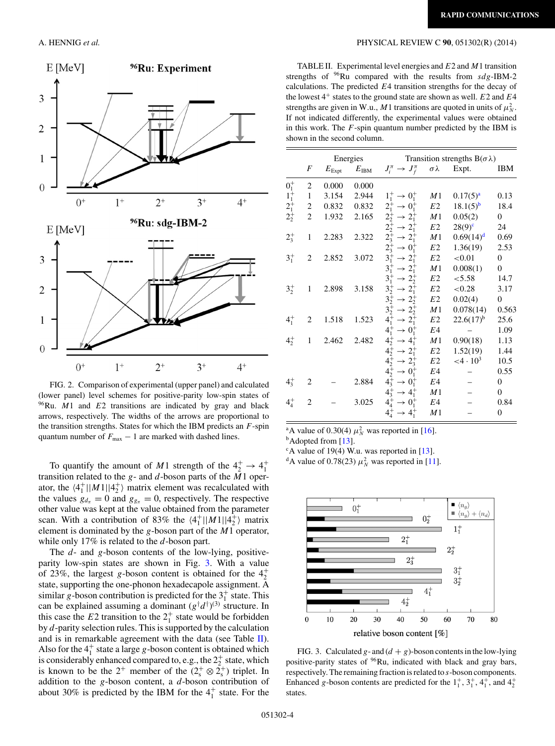

FIG. 2. Comparison of experimental (upper panel) and calculated (lower panel) level schemes for positive-parity low-spin states of Ru. *M*1 and *E*2 transitions are indicated by gray and black arrows, respectively. The widths of the arrows are proportional to the transition strengths. States for which the IBM predicts an  $F$ -spin quantum number of  $F_{\text{max}} - 1$  are marked with dashed lines.

To quantify the amount of M1 strength of the  $4^+_2 \rightarrow 4^+_1$ transition related to the  $g$ - and  $d$ -boson parts of the  $M1$  operator, the  $\langle 4_1^+ | |M1| | 4_2^+ \rangle$  matrix element was recalculated with the values  $g_{d_{\pi}} = 0$  and  $g_{g_{\pi}} = 0$ , respectively. The respective other value was kept at the value obtained from the parameter scan. With a contribution of 83% the  $\langle 4_1^+ | |M1| | 4_2^+ \rangle$  matrix element is dominated by the g-boson part of the M1 operator, while only  $17\%$  is related to the d-boson part.

The  $d$ - and g-boson contents of the low-lying, positiveparity low-spin states are shown in Fig. 3. With a value of 23%, the largest g-boson content is obtained for the  $4^+_2$ state, supporting the one-phonon hexadecapole assignment. A similar g-boson contribution is predicted for the  $3<sup>+</sup><sub>1</sub>$  state. This can be explained assuming a dominant  $(g^{\dagger}d^{\dagger})^{(3)}$  structure. In this case the  $E2$  transition to the  $2^+_1$  state would be forbidden by d-parity selection rules. This is supported by the calculation and is in remarkable agreement with the data (see Table II). Also for the  $4_1^+$  state a large g-boson content is obtained which is considerably enhanced compared to, e.g., the  $2^+_2$  state, which is known to be the  $2^+$  member of the  $(2^+_s \otimes 2^+_s)$  triplet. In addition to the  $g$ -boson content, a  $d$ -boson contribution of about 30% is predicted by the IBM for the  $4<sup>+</sup><sub>1</sub>$  state. For the

# <span id="page-3-0"></span>A. HENNIG *et al.* PHYSICAL REVIEW C **90**, 051302(R) (2014)

TABLE II. Experimental level energies and  $E2$  and  $M1$  transition strengths of Ru compared with the results from  $sdg$ -IBM-2 calculations. The predicted  $E4$  transition strengths for the decay of the lowest  $4^+$  states to the ground state are shown as well.  $E2$  and  $E4$ strengths are given in W.u., M1 transitions are quoted in units of  $\mu_N^2$ . If not indicated differently, the experimental values were obtained in this work. The  $F$ -spin quantum number predicted by the IBM is shown in the second column.

|             |                | Energies        |                | Transition strengths $B(\sigma \lambda)$       |                |                         |                  |
|-------------|----------------|-----------------|----------------|------------------------------------------------|----------------|-------------------------|------------------|
|             | F              | $E_{\rm{Expt}}$ | $E_{\rm{IBM}}$ | $J_i^{\pi} \to J_f^{\pi} \quad \sigma \lambda$ |                | Expt.                   | IBM              |
| $0^{+}_{1}$ | $\overline{2}$ | 0.000           | 0.000          |                                                |                |                         |                  |
| $1_1^+$     | 1              | 3.154           | 2.944          | $1^+_1 \rightarrow 0^+_1$                      | M1             | $0.17(5)^{a}$           | 0.13             |
| $2^{+}_{1}$ | 2              | 0.832           | 0.832          | $2^+_1 \rightarrow 0^+_1$                      | E <sub>2</sub> | $18.1(5)^{b}$           | 18.4             |
| $2^{+}_{2}$ | $\mathbf{2}$   | 1.932           | 2.165          | $2^+_2 \rightarrow 2^+_1$                      | M <sub>1</sub> | 0.05(2)                 | 0                |
|             |                |                 |                | $2^+_2 \rightarrow 2^+_1$                      | E2             | $28(9)^{c}$             | 24               |
| $2^{+}_{3}$ | 1              | 2.283           | 2.322          | $2^+_3 \rightarrow 2^+_1$                      | M1             | $0.69(14)^d$            | 0.69             |
|             |                |                 |                | $2^+_3 \rightarrow 0^+_1$                      | E2             | 1.36(19)                | 2.53             |
| $3^{+}_{1}$ | $\overline{c}$ | 2.852           | 3.072          | $3^+_1 \rightarrow 2^+_1$                      | $E2\,$         | < 0.01                  | $\overline{0}$   |
|             |                |                 |                | $3^+_1 \rightarrow 2^+_1$                      | M1             | 0.008(1)                | $\overline{0}$   |
|             |                |                 |                | $3^+_1 \rightarrow 2^+_2$                      | E <sub>2</sub> | < 5.58                  | 14.7             |
| $3^{+}_{2}$ | 1              | 2.898           | 3.158          | $3^+_2 \rightarrow 2^+_1$                      | E <sub>2</sub> | ${<}0.28$               | 3.17             |
|             |                |                 |                | $3^+_2 \rightarrow 2^+_2$                      | E2             | 0.02(4)                 | $\boldsymbol{0}$ |
|             |                |                 |                | $3^+_2 \rightarrow 2^+_2$                      | M <sub>1</sub> | 0.078(14)               | 0.563            |
| $4^{+}_{1}$ | 2              | 1.518           | 1.523          | $4^+_1 \rightarrow 2^+_1$                      | E <sub>2</sub> | $22.6(17)^{b}$          | 25.6             |
|             |                |                 |                | $4^+_1 \rightarrow 0^+_1$                      | E4             |                         | 1.09             |
| $4^{+}_{2}$ | 1              | 2.462           | 2.482          | $4^+_2 \rightarrow 4^+_1$                      | M1             | 0.90(18)                | 1.13             |
|             |                |                 |                | $4^+_2 \rightarrow 2^+_1$                      | E <sub>2</sub> | 1.52(19)                | 1.44             |
|             |                |                 |                | $4^+_2 \rightarrow 2^+_3$                      | E2             | $<$ 4 · 10 <sup>3</sup> | 10.5             |
|             |                |                 |                | $4^+_2 \rightarrow 0^+_1$                      | E4             |                         | 0.55             |
| $4^{+}_{3}$ | 2              |                 | 2.884          | $4^+_3 \rightarrow 0^+_1$                      | E4             |                         | $\overline{0}$   |
|             |                |                 |                | $4^+_3 \rightarrow 4^+_1$                      | M1             |                         | $\overline{0}$   |
| $4^{+}_{4}$ | $\overline{2}$ |                 | 3.025          | $4^+_4 \rightarrow 0^+_1$                      | E4             |                         | 0.84             |
|             |                |                 |                | $4^+_4 \rightarrow 4^+_1$                      | M1             |                         | $\mathbf{0}$     |

<sup>a</sup>A value of 0.30(4)  $\mu_N^2$  was reported in [\[16\]](#page-5-0).<br><sup>b</sup>Adopted from [\[13\]](#page-5-0).

 $c$ A value of 19(4) W.u. was reported in [\[13\]](#page-5-0).

<sup>d</sup>A value of 0.78(23)  $\mu_N^2$  was reported in [\[11\]](#page-5-0).



FIG. 3. Calculated g- and  $(d + g)$ -boson contents in the low-lying positive-parity states of 96Ru, indicated with black and gray bars, respectively. The remaining fraction is related to s-boson components. Enhanced g-boson contents are predicted for the  $1<sup>+</sup><sub>1</sub>$ ,  $3<sup>+</sup><sub>1</sub>$ ,  $4<sup>+</sup><sub>1</sub>$ , and  $4<sup>+</sup><sub>2</sub>$ states.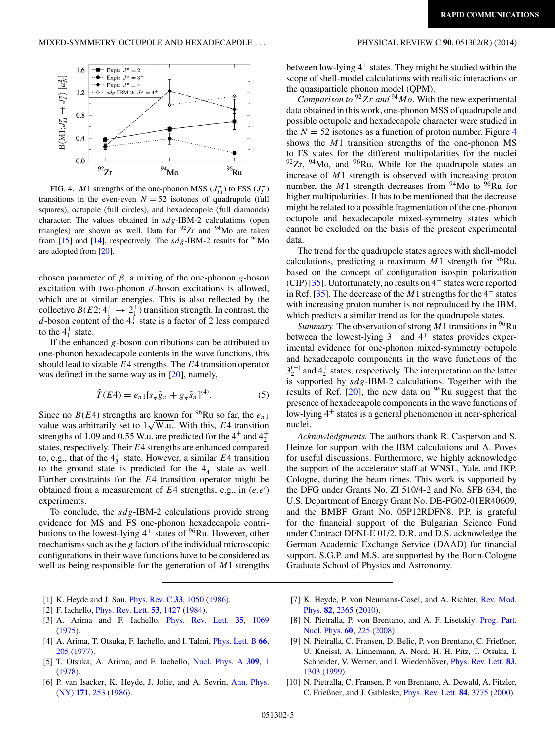<span id="page-4-0"></span>

FIG. 4. *M* 1 strengths of the one-phonon MSS  $(J_{II}^{\pi})$  to FSS  $(J_{I}^{\pi})$ transitions in the even-even  $N = 52$  isotones of quadrupole (full squares), octupole (full circles), and hexadecapole (full diamonds) character. The values obtained in sdg-IBM-2 calculations (open triangles) are shown as well. Data for  $92Zr$  and  $94Mo$  are taken from [\[15\]](#page-5-0) and [\[14\]](#page-5-0), respectively. The  $sdg$ -IBM-2 results for <sup>94</sup>Mo are adopted from [\[20\]](#page-5-0).

chosen parameter of  $\beta$ , a mixing of the one-phonon g-boson excitation with two-phonon  $d$ -boson excitations is allowed, which are at similar energies. This is also reflected by the collective  $B(E2; 4^+_1 \rightarrow 2^+_1)$  transition strength. In contrast, the *d*-boson content of the  $4^{+}_{2}$  state is a factor of 2 less compared to the  $4<sup>+</sup><sub>1</sub>$  state.

If the enhanced  $g$ -boson contributions can be attributed to one-phonon hexadecapole contents in the wave functions, this should lead to sizable  $E_4$  strengths. The  $E_4$  transition operator was defined in the same way as in [\[20\]](#page-5-0), namely,

$$
\hat{T}(E4) = e_{\pi 1} [s_{\pi}^{\dagger} \tilde{g}_{\pi} + g_{\pi}^{\dagger} \tilde{s}_{\pi}]^{(4)}.
$$
 (5)

Since no  $B(E4)$  strengths are known for <sup>96</sup>Ru so far, the  $e_{\pi 1}$ value was arbitrarily set to  $1\sqrt{\text{W.u.}}$ . With this, E4 transition strengths of 1.09 and 0.55 W.u. are predicted for the  $4^+_1$  and  $4^+_2$ states, respectively. Their E4 strengths are enhanced compared to, e.g., that of the  $4^+_3$  state. However, a similar E4 transition to the ground state is predicted for the  $4^+_4$  state as well. Further constraints for the E4 transition operator might be obtained from a measurement of  $E4$  strengths, e.g., in  $(e,e')$ experiments.

To conclude, the  $sdg$ -IBM-2 calculations provide strong evidence for MS and FS one-phonon hexadecapole contributions to the lowest-lying  $4^+$  states of  $96$ Ru. However, other mechanisms such as the  $g$  factors of the individual microscopic configurations in their wave functions have to be considered as well as being responsible for the generation of  $M1$  strengths

- [1] K. Heyde and J. Sau, [Phys. Rev. C](http://dx.doi.org/10.1103/PhysRevC.33.1050) **[33](http://dx.doi.org/10.1103/PhysRevC.33.1050)**, [1050](http://dx.doi.org/10.1103/PhysRevC.33.1050) [\(1986\)](http://dx.doi.org/10.1103/PhysRevC.33.1050).
- [2] F. Iachello, [Phys. Rev. Lett.](http://dx.doi.org/10.1103/PhysRevLett.53.1427) **[53](http://dx.doi.org/10.1103/PhysRevLett.53.1427)**, [1427](http://dx.doi.org/10.1103/PhysRevLett.53.1427) [\(1984\)](http://dx.doi.org/10.1103/PhysRevLett.53.1427).
- [3] A. Arima and F. Iachello, [Phys. Rev. Lett.](http://dx.doi.org/10.1103/PhysRevLett.35.1069) **[35](http://dx.doi.org/10.1103/PhysRevLett.35.1069)**, [1069](http://dx.doi.org/10.1103/PhysRevLett.35.1069) [\(1975\)](http://dx.doi.org/10.1103/PhysRevLett.35.1069).
- [4] A. Arima, T. Otsuka, F. Iachello, and I. Talmi, [Phys. Lett. B](http://dx.doi.org/10.1016/0370-2693(77)90860-7) **[66](http://dx.doi.org/10.1016/0370-2693(77)90860-7)**, [205](http://dx.doi.org/10.1016/0370-2693(77)90860-7) [\(1977\)](http://dx.doi.org/10.1016/0370-2693(77)90860-7).
- [5] T. Otsuka, A. Arima, and F. Iachello, [Nucl. Phys. A](http://dx.doi.org/10.1016/0375-9474(78)90532-8) **[309](http://dx.doi.org/10.1016/0375-9474(78)90532-8)**, [1](http://dx.doi.org/10.1016/0375-9474(78)90532-8) [\(1978\)](http://dx.doi.org/10.1016/0375-9474(78)90532-8).
- [6] [P. van Isacker, K. Heyde, J. Jolie, and A. Sevrin,](http://dx.doi.org/10.1016/0003-4916(86)90002-3) Ann. Phys. (NY) **[171](http://dx.doi.org/10.1016/0003-4916(86)90002-3)**, [253](http://dx.doi.org/10.1016/0003-4916(86)90002-3) [\(1986\)](http://dx.doi.org/10.1016/0003-4916(86)90002-3).

between low-lying  $4^+$  states. They might be studied within the scope of shell-model calculations with realistic interactions or the quasiparticle phonon model (QPM).

*Comparison to*  $92$  Zr and  $94$  Mo. With the new experimental data obtained in this work, one-phonon MSS of quadrupole and possible octupole and hexadecapole character were studied in the  $N = 52$  isotones as a function of proton number. Figure 4 shows the M1 transition strengths of the one-phonon MS to FS states for the different multipolarities for the nuclei  $92Zr$ ,  $94Mo$ , and  $96Ru$ . While for the quadrupole states an increase of M1 strength is observed with increasing proton number, the M1 strength decreases from <sup>94</sup>Mo to  $\overline{96}Ru$  for higher multipolarities. It has to be mentioned that the decrease might be related to a possible fragmentation of the one-phonon octupole and hexadecapole mixed-symmetry states which cannot be excluded on the basis of the present experimental data.

The trend for the quadrupole states agrees with shell-model calculations, predicting a maximum  $M1$  strength for <sup>96</sup>Ru, based on the concept of configuration isospin polarization (CIP) [\[35\]](#page-5-0). Unfortunately, no results on  $4^+$  states were reported in Ref. [\[35\]](#page-5-0). The decrease of the  $M1$  strengths for the  $4^+$  states with increasing proton number is not reproduced by the IBM, which predicts a similar trend as for the quadrupole states.

*Summary.* The observation of strong  $M1$  transitions in <sup>96</sup>Ru between the lowest-lying 3<sup>−</sup> and 4<sup>+</sup> states provides experimental evidence for one-phonon mixed-symmetry octupole and hexadecapole components in the wave functions of the  $3_2^{(-)}$  and  $4_2^+$  states, respectively. The interpretation on the latter is supported by  $sdg$ -IBM-2 calculations. Together with the results of Ref.  $[20]$ , the new data on  $96$ Ru suggest that the presence of hexadecapole components in the wave functions of low-lying  $4^+$  states is a general phenomenon in near-spherical nuclei.

*Acknowledgments.* The authors thank R. Casperson and S. Heinze for support with the IBM calculations and A. Poves for useful discussions. Furthermore, we highly acknowledge the support of the accelerator staff at WNSL, Yale, and IKP, Cologne, during the beam times. This work is supported by the DFG under Grants No. ZI 510/4-2 and No. SFB 634, the U.S. Department of Energy Grant No. DE-FG02-01ER40609, and the BMBF Grant No. 05P12RDFN8. P.P. is grateful for the financial support of the Bulgarian Science Fund under Contract DFNI-E 01/2. D.R. and D.S. acknowledge the German Academic Exchange Service (DAAD) for financial support. S.G.P. and M.S. are supported by the Bonn-Cologne Graduate School of Physics and Astronomy.

- [7] [K. Heyde, P. von Neumann-Cosel, and A. Richter,](http://dx.doi.org/10.1103/RevModPhys.82.2365) Rev. Mod. Phys. **[82](http://dx.doi.org/10.1103/RevModPhys.82.2365)**, [2365](http://dx.doi.org/10.1103/RevModPhys.82.2365) [\(2010\)](http://dx.doi.org/10.1103/RevModPhys.82.2365).
- [8] [N. Pietralla, P. von Brentano, and A. F. Lisetskiy,](http://dx.doi.org/10.1016/j.ppnp.2007.08.002) Prog. Part. Nucl. Phys. **[60](http://dx.doi.org/10.1016/j.ppnp.2007.08.002)**, [225](http://dx.doi.org/10.1016/j.ppnp.2007.08.002) [\(2008\)](http://dx.doi.org/10.1016/j.ppnp.2007.08.002).
- [9] N. Pietralla, C. Fransen, D. Belic, P. von Brentano, C. Frießner, U. Kneissl, A. Linnemann, A. Nord, H. H. Pitz, T. Otsuka, I. Schneider, V. Werner, and I. Wiedenhöver, [Phys. Rev. Lett.](http://dx.doi.org/10.1103/PhysRevLett.83.1303) [83](http://dx.doi.org/10.1103/PhysRevLett.83.1303), [1303](http://dx.doi.org/10.1103/PhysRevLett.83.1303) [\(1999\)](http://dx.doi.org/10.1103/PhysRevLett.83.1303).
- [10] N. Pietralla, C. Fransen, P. von Brentano, A. Dewald, A. Fitzler, C. Frießner, and J. Gableske, [Phys. Rev. Lett.](http://dx.doi.org/10.1103/PhysRevLett.84.3775) **[84](http://dx.doi.org/10.1103/PhysRevLett.84.3775)**, [3775](http://dx.doi.org/10.1103/PhysRevLett.84.3775) [\(2000\)](http://dx.doi.org/10.1103/PhysRevLett.84.3775).